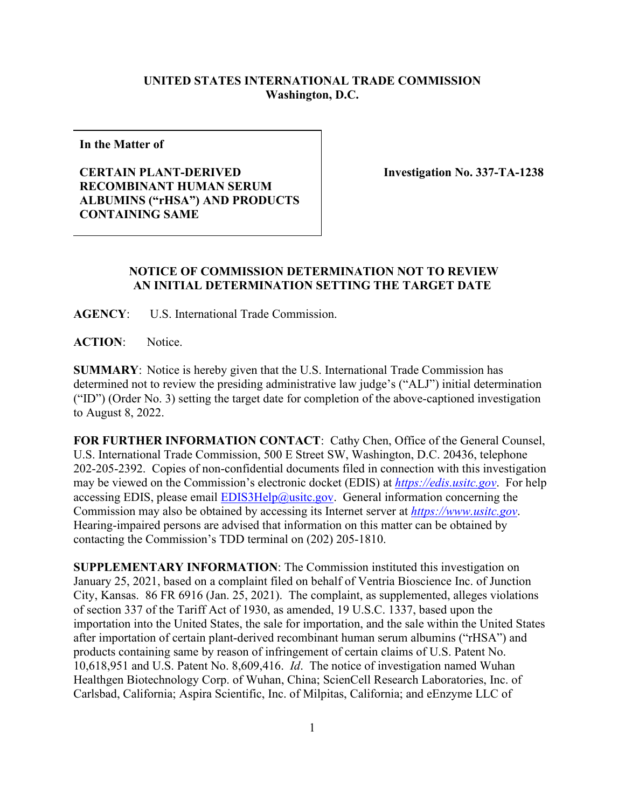## **UNITED STATES INTERNATIONAL TRADE COMMISSION Washington, D.C.**

**In the Matter of**

## **CERTAIN PLANT-DERIVED RECOMBINANT HUMAN SERUM ALBUMINS ("rHSA") AND PRODUCTS CONTAINING SAME**

 **Investigation No. 337-TA-1238**

## **NOTICE OF COMMISSION DETERMINATION NOT TO REVIEW AN INITIAL DETERMINATION SETTING THE TARGET DATE**

**AGENCY**: U.S. International Trade Commission.

**ACTION**: Notice.

**SUMMARY**: Notice is hereby given that the U.S. International Trade Commission has determined not to review the presiding administrative law judge's ("ALJ") initial determination ("ID") (Order No. 3) setting the target date for completion of the above-captioned investigation to August 8, 2022.

**FOR FURTHER INFORMATION CONTACT**: Cathy Chen, Office of the General Counsel, U.S. International Trade Commission, 500 E Street SW, Washington, D.C. 20436, telephone 202-205-2392. Copies of non-confidential documents filed in connection with this investigation may be viewed on the Commission's electronic docket (EDIS) at *[https://edis.usitc.gov](https://edis.usitc.gov/)*. For help accessing EDIS, please email  $EDIS3Help@ustc.gov$ . General information concerning the Commission may also be obtained by accessing its Internet server at *[https://www.usitc.gov](https://www.usitc.gov/)*. Hearing-impaired persons are advised that information on this matter can be obtained by contacting the Commission's TDD terminal on (202) 205-1810.

**SUPPLEMENTARY INFORMATION**: The Commission instituted this investigation on January 25, 2021, based on a complaint filed on behalf of Ventria Bioscience Inc. of Junction City, Kansas. 86 FR 6916 (Jan. 25, 2021). The complaint, as supplemented, alleges violations of section 337 of the Tariff Act of 1930, as amended, 19 U.S.C. 1337, based upon the importation into the United States, the sale for importation, and the sale within the United States after importation of certain plant-derived recombinant human serum albumins ("rHSA") and products containing same by reason of infringement of certain claims of U.S. Patent No. 10,618,951 and U.S. Patent No. 8,609,416. *Id*. The notice of investigation named Wuhan Healthgen Biotechnology Corp. of Wuhan, China; ScienCell Research Laboratories, Inc. of Carlsbad, California; Aspira Scientific, Inc. of Milpitas, California; and eEnzyme LLC of